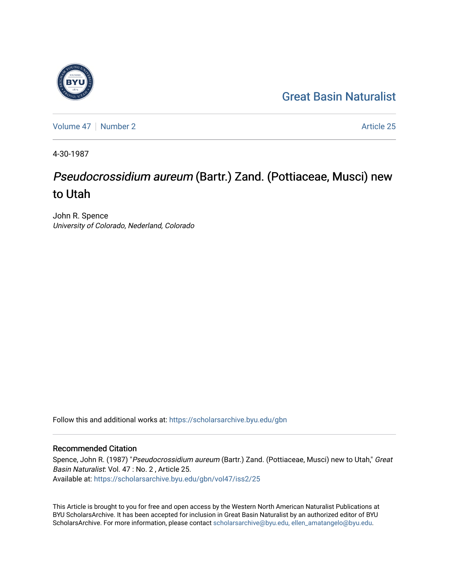## [Great Basin Naturalist](https://scholarsarchive.byu.edu/gbn)

[Volume 47](https://scholarsarchive.byu.edu/gbn/vol47) | [Number 2](https://scholarsarchive.byu.edu/gbn/vol47/iss2) Article 25

4-30-1987

# Pseudocrossidium aureum (Bartr.) Zand. (Pottiaceae, Musci) new to Utah

John R. Spence University of Colorado, Nederland, Colorado

Follow this and additional works at: [https://scholarsarchive.byu.edu/gbn](https://scholarsarchive.byu.edu/gbn?utm_source=scholarsarchive.byu.edu%2Fgbn%2Fvol47%2Fiss2%2F25&utm_medium=PDF&utm_campaign=PDFCoverPages) 

### Recommended Citation

Spence, John R. (1987) "Pseudocrossidium aureum (Bartr.) Zand. (Pottiaceae, Musci) new to Utah," Great Basin Naturalist: Vol. 47 : No. 2 , Article 25. Available at: [https://scholarsarchive.byu.edu/gbn/vol47/iss2/25](https://scholarsarchive.byu.edu/gbn/vol47/iss2/25?utm_source=scholarsarchive.byu.edu%2Fgbn%2Fvol47%2Fiss2%2F25&utm_medium=PDF&utm_campaign=PDFCoverPages) 

This Article is brought to you for free and open access by the Western North American Naturalist Publications at BYU ScholarsArchive. It has been accepted for inclusion in Great Basin Naturalist by an authorized editor of BYU ScholarsArchive. For more information, please contact [scholarsarchive@byu.edu, ellen\\_amatangelo@byu.edu.](mailto:scholarsarchive@byu.edu,%20ellen_amatangelo@byu.edu)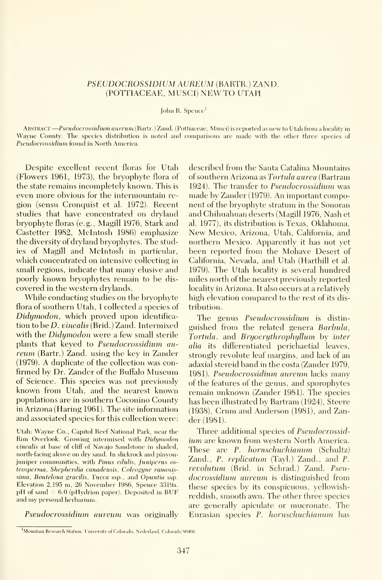#### PSEUDOCROSSIDIUM AUREUM (BARTR.) ZAND. (POTTIACEAE, MUSCI) NEW TO UTAH

#### John R. Spence'

ABSTRACT. - Pseudocrossidium aureum (Bartr.) Zand. (Pottiaceae, Musci) is reported as new to Utah from a locality in Wayne County. The species distribution is noted and comparisons are made with the other three species of Pseudocrossidium found in North America.

Despite excellent recent floras for Utah (Flowers 1961, 1973), the bryophyte flora of the state remains incompletely known. This is even more obvious for the intermountain re gion (sensu Cronquist et al. 1972). Recent studies that have concentrated on dryland bryophyte floras (e.g., Magill 1976, Stark and Castetter 1982, Mcintosh 1986) emphasize the diversity of dryland bryophytes. The studies of Magill and Mcintosh in particular, which concentrated on intensive collecting in small regions, indicate that many elusive and poorly known bryophytes remain to be dis covered in the western drylands.

While conducting studies on the bryophyte flora of southern Utah, <sup>I</sup> collected a species of Didymodon, which proved upon identifica tion to be D. vinealis (Brid.) Zand. Intermixed with the *Didumodon* were a few small sterile plants that keyed to Pseudocrossidium aureum (Bartr.) Zand, using the key in Zander (1979). A duplicate of the collection was con firmed by Dr. Zander of the Buffalo Museum of Science. This species was not previously known from Utah, and the nearest known populations are in southern Coconino County in Arizona (Haring 1961). The site information and associated species for this collection were:

Utah: Wayne Co., Capitol Reef National Park, near the Rim Overlook. Growing intermixed with Didymodon vinealis at base of cliff of Navajo Sandstone in shaded, north-facing alcove on dry sand. In slickrock and pinyonjuniper communities, with Pinus edulis, Juniperus osteosperma, Shepherdia canadensis, Coleogyne ramosissima. Bouteloua gracilis, Yucca ssp., and Opuntia ssp. Elevation 2,195 m, 26 November 1986, Spence 3319a. pH of sand  $= 6.0$  (pHydrion paper). Deposited in BUF and my personal herbarium.

Pseudocrossidium aureum was originally

described from the Santa Catalina Mountains of southern Arizona as Tortula aurea (Bartram 1924). The transfer to *Pseudocrossidium* was made by Zander (1979). An important component of the bryophyte stratum in the Sonoran and Chihuahuan deserts (Magill 1976, Nash et al. 1977), its distribution is Texas, Oklahoma, New Mexico, Arizona, Utah, California, and northern Mexico. Apparently it has not yet been reported from the Mohave Desert of California, Nevada, and Utah (Harthill et al. 1979). The Utah locality is several hundred miles north of the nearest previously reported locality in Arizona. It also occurs at a relatively high elevation compared to the rest of its dis tribution.

The genus Pseudocrossidium is distin guished from the related genera Barbula, Tortula, and Bryoerythrophyllum by inter alia its differentiated perichaetial leaves, strongly revolute leaf margins, and lack of an adaxial stereid band in the costa (Zander 1979, 1981). Pseudocrossidium aureum lacks many of the features of the genus, and sporophytes remain unknown (Zander 1981). The species has been illustrated by Bartram (1924), Steere (1938), Crum and Anderson (1981), and Zander (1981).

Three additional species of Pseudocrossidium are known from western North America. These are P. hornschuchianum (Schultz) Zand., P. replicatum (Tayl.) Zand., and P. revolutum (Brid. in Schrad.) Zand. Pseudocrossidium aureum is distinguished from these species by its conspicuous, yellowishreddish, smooth awn. The other three species are generally apiculate or mucronate. The Eurasian species P. hornschuchianum has

Mountain Research Station. Universitv of Colorado, Nederland, Colorado 80466.